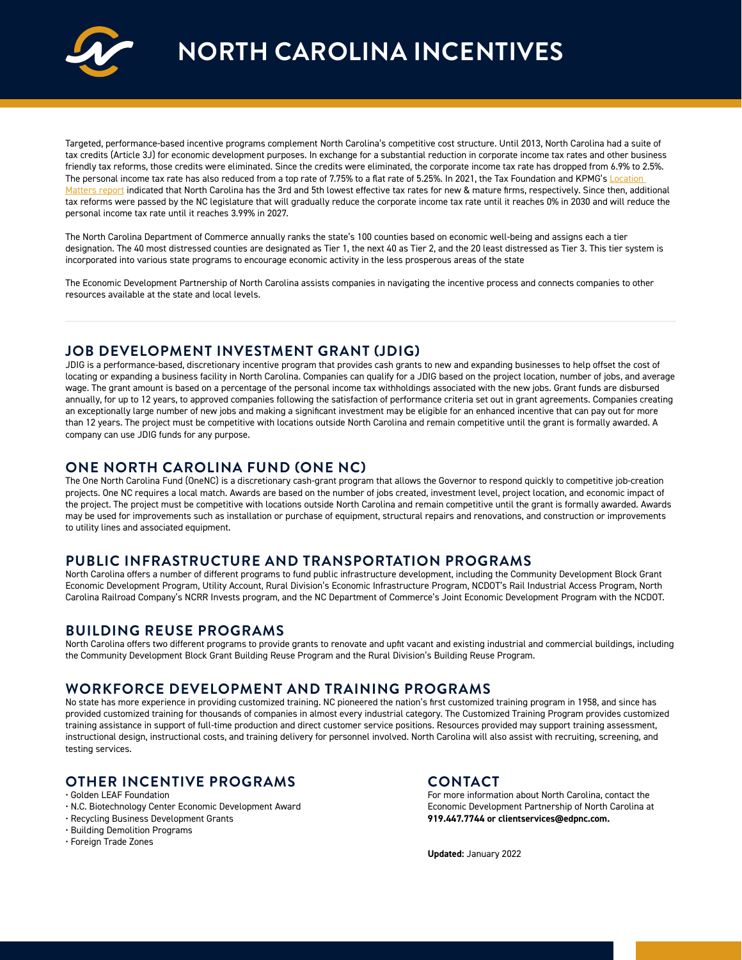

**NORTH CAROLINA INCENTIVES**

Targeted, performance-based incentive programs complement North Carolina's competitive cost structure. Until 2013, North Carolina had a suite of tax credits (Article 3J) for economic development purposes. In exchange for a substantial reduction in corporate income tax rates and other business friendly tax reforms, those credits were eliminated. Since the credits were eliminated, the corporate income tax rate has dropped from 6.9% to 2.5%. The personal income tax rate has also reduced from a top rate of 7.75% to a flat rate of 5.25%. In 2021, the Tax Foundation and KPMG's Location [Matters report](https://files.taxfoundation.org/20210510134130/Location-Matters-2021-The-State-Tax-Costs-of-Doing-Business1.pdf) indicated that North Carolina has the 3rd and 5th lowest effective tax rates for new & mature firms, respectively. Since then, additional tax reforms were passed by the NC legislature that will gradually reduce the corporate income tax rate until it reaches 0% in 2030 and will reduce the personal income tax rate until it reaches 3.99% in 2027.

The North Carolina Department of Commerce annually ranks the state's 100 counties based on economic well-being and assigns each a tier designation. The 40 most distressed counties are designated as Tier 1, the next 40 as Tier 2, and the 20 least distressed as Tier 3. This tier system is incorporated into various state programs to encourage economic activity in the less prosperous areas of the state

The Economic Development Partnership of North Carolina assists companies in navigating the incentive process and connects companies to other resources available at the state and local levels.

#### **JOB DEVELOPMENT INVESTMENT GRANT (JDIG)**

JDIG is a performance-based, discretionary incentive program that provides cash grants to new and expanding businesses to help offset the cost of locating or expanding a business facility in North Carolina. Companies can qualify for a JDIG based on the project location, number of jobs, and average wage. The grant amount is based on a percentage of the personal income tax withholdings associated with the new jobs. Grant funds are disbursed annually, for up to 12 years, to approved companies following the satisfaction of performance criteria set out in grant agreements. Companies creating an exceptionally large number of new jobs and making a significant investment may be eligible for an enhanced incentive that can pay out for more than 12 years. The project must be competitive with locations outside North Carolina and remain competitive until the grant is formally awarded. A company can use JDIG funds for any purpose.

# **ONE NORTH CAROLINA FUND (ONE NC)**

The One North Carolina Fund (OneNC) is a discretionary cash-grant program that allows the Governor to respond quickly to competitive job-creation projects. One NC requires a local match. Awards are based on the number of jobs created, investment level, project location, and economic impact of the project. The project must be competitive with locations outside North Carolina and remain competitive until the grant is formally awarded. Awards may be used for improvements such as installation or purchase of equipment, structural repairs and renovations, and construction or improvements to utility lines and associated equipment.

# **PUBLIC INFRASTRUCTURE AND TRANSPORTATION PROGRAMS**

North Carolina offers a number of different programs to fund public infrastructure development, including the Community Development Block Grant Economic Development Program, Utility Account, Rural Division's Economic Infrastructure Program, NCDOT's Rail Industrial Access Program, North Carolina Railroad Company's NCRR Invests program, and the NC Department of Commerce's Joint Economic Development Program with the NCDOT.

#### **BUILDING REUSE PROGRAMS**

North Carolina offers two different programs to provide grants to renovate and upfit vacant and existing industrial and commercial buildings, including the Community Development Block Grant Building Reuse Program and the Rural Division's Building Reuse Program.

# **WORKFORCE DEVELOPMENT AND TRAINING PROGRAMS**

No state has more experience in providing customized training. NC pioneered the nation's first customized training program in 1958, and since has provided customized training for thousands of companies in almost every industrial category. The Customized Training Program provides customized training assistance in support of full-time production and direct customer service positions. Resources provided may support training assessment, instructional design, instructional costs, and training delivery for personnel involved. North Carolina will also assist with recruiting, screening, and testing services.

# **OTHER INCENTIVE PROGRAMS**

#### • Golden LEAF Foundation

- N.C. Biotechnology Center Economic Development Award
- Recycling Business Development Grants
- Building Demolition Programs
- Foreign Trade Zones

#### **CONTACT**

For more information about North Carolina, contact the Economic Development Partnership of North Carolina at **919.447.7744 or clientservices@edpnc.com.**

**Updated:** January 2022